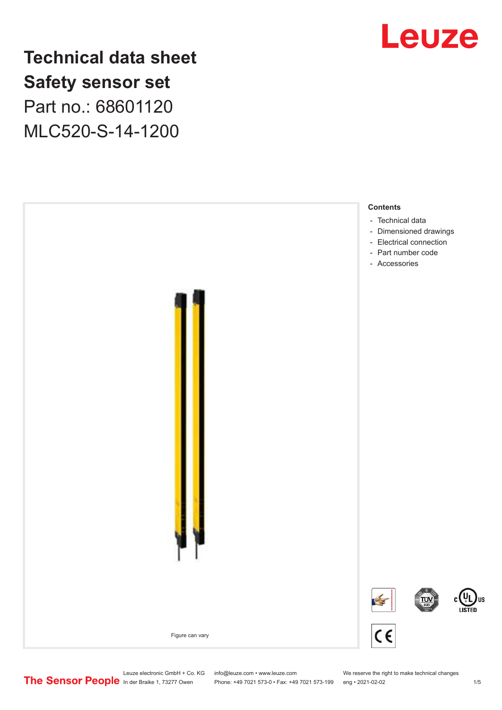# Leuze

## **Technical data sheet Safety sensor set** Part no.: 68601120

MLC520-S-14-1200



Phone: +49 7021 573-0 • Fax: +49 7021 573-199 eng • 2021-02-02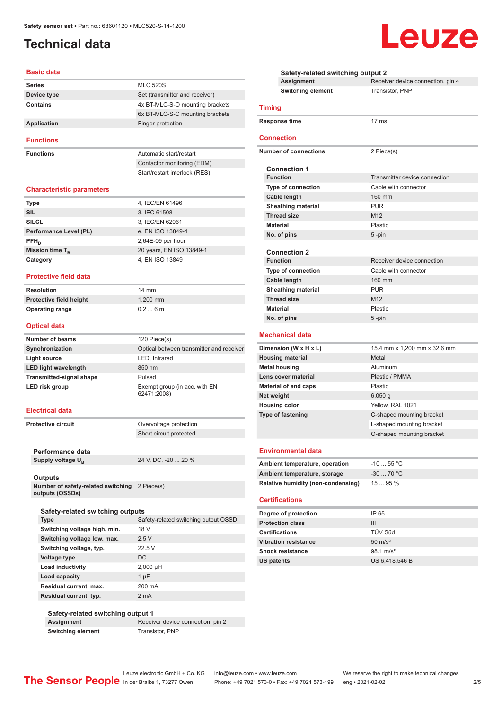## <span id="page-1-0"></span>**Technical data**

#### **Basic data**

| <b>Series</b> | <b>MLC 520S</b>                 |
|---------------|---------------------------------|
| Device type   | Set (transmitter and receiver)  |
| Contains      | 4x BT-MLC-S-O mounting brackets |
|               | 6x BT-MLC-S-C mounting brackets |
| Application   | Finger protection               |
|               |                                 |

**Functions**

**Functions** Automatic start/restart Contactor monitoring (EDM) Start/restart interlock (RES)

#### **Characteristic parameters**

| <b>Type</b>            | 4, IEC/EN 61496          |
|------------------------|--------------------------|
| <b>SIL</b>             | 3, IEC 61508             |
| <b>SILCL</b>           | 3, IEC/EN 62061          |
| Performance Level (PL) | e, EN ISO 13849-1        |
| $PFH_n$                | 2,64E-09 per hour        |
| Mission time $T_{M}$   | 20 years, EN ISO 13849-1 |
| Category               | 4, EN ISO 13849          |

#### **Protective field data**

**Resolution** 14 mm **Protective field height** 1,200 mm **Operating range** 0.2 ... 6 m

#### **Optical data**

| <b>Number of beams</b>          | 120 Piece(s)                                 |
|---------------------------------|----------------------------------------------|
| Synchronization                 | Optical between transmitter and receiver     |
| Light source                    | LED, Infrared                                |
| <b>LED light wavelength</b>     | 850 nm                                       |
| <b>Transmitted-signal shape</b> | Pulsed                                       |
| LED risk group                  | Exempt group (in acc. with EN<br>62471:2008) |

#### **Electrical data**

**Protective circuit COVER COVER PROTECTION** Short circuit protected

**Performance data** Supply voltage  $U_B$ 

24 V, DC, -20 ... 20 %

#### **Outputs**

**Number of safety-related switching**  2 Piece(s) **outputs (OSSDs)**

| Safety-related switching outputs |             |                                      |  |
|----------------------------------|-------------|--------------------------------------|--|
|                                  | <b>Type</b> | Safety-related switching output OSSD |  |
|                                  |             |                                      |  |

| Switching voltage high, min. | 18 V       |
|------------------------------|------------|
| Switching voltage low, max.  | 2.5V       |
| Switching voltage, typ.      | 22.5V      |
| Voltage type                 | DC.        |
| Load inductivity             | $2,000$ µH |
| Load capacity                | 1 uF       |
| Residual current, max.       | 200 mA     |
| Residual current, typ.       | 2 mA       |

#### **Safety-related switching output 1 Assignment** Receiver device connection, pin 2

**Switching element** Transistor, PNP

|                        | Safety-related switching output 2  |                                   |  |  |  |
|------------------------|------------------------------------|-----------------------------------|--|--|--|
|                        | <b>Assignment</b>                  | Receiver device connection, pin 4 |  |  |  |
|                        | <b>Switching element</b>           | Transistor, PNP                   |  |  |  |
|                        | <b>Timing</b>                      |                                   |  |  |  |
|                        | Response time                      | 17 <sub>ms</sub>                  |  |  |  |
|                        | Connection                         |                                   |  |  |  |
|                        | <b>Number of connections</b>       | 2 Piece(s)                        |  |  |  |
|                        | <b>Connection 1</b>                |                                   |  |  |  |
|                        | <b>Function</b>                    | Transmitter device connection     |  |  |  |
|                        | <b>Type of connection</b>          | Cable with connector              |  |  |  |
|                        | <b>Cable length</b>                | 160 mm                            |  |  |  |
|                        | <b>Sheathing material</b>          | <b>PUR</b>                        |  |  |  |
|                        | <b>Thread size</b>                 | M <sub>12</sub>                   |  |  |  |
|                        | <b>Material</b>                    | Plastic                           |  |  |  |
|                        | No. of pins                        | 5-pin                             |  |  |  |
|                        | <b>Connection 2</b>                |                                   |  |  |  |
|                        | <b>Function</b>                    | Receiver device connection        |  |  |  |
|                        | Type of connection                 | Cable with connector              |  |  |  |
|                        | Cable length                       | 160 mm                            |  |  |  |
|                        | <b>Sheathing material</b>          | <b>PUR</b>                        |  |  |  |
|                        | <b>Thread size</b>                 | M <sub>12</sub>                   |  |  |  |
|                        | <b>Material</b>                    | Plastic                           |  |  |  |
|                        | No. of pins                        | 5 -pin                            |  |  |  |
| <b>Mechanical data</b> |                                    |                                   |  |  |  |
|                        | Dimension (W x H x L)              | 15.4 mm x 1,200 mm x 32.6 mm      |  |  |  |
|                        | <b>Housing material</b>            | Metal                             |  |  |  |
|                        | <b>Metal housing</b>               | Aluminum                          |  |  |  |
|                        | Lens cover material                | Plastic / PMMA                    |  |  |  |
|                        | <b>Material of end caps</b>        | Plastic                           |  |  |  |
|                        | Net weight                         | $6,050$ g                         |  |  |  |
|                        | <b>Housing color</b>               | Yellow, RAL 1021                  |  |  |  |
|                        | <b>Type of fastening</b>           | C-shaped mounting bracket         |  |  |  |
|                        |                                    | L-shaped mounting bracket         |  |  |  |
|                        |                                    | O-shaped mounting bracket         |  |  |  |
|                        | <b>Environmental data</b>          |                                   |  |  |  |
|                        | Ambient temperature, operation     | $-1055$ °C                        |  |  |  |
|                        | Ambient temperature, storage       | $-3070 °C$                        |  |  |  |
|                        | Relative humidity (non-condensing) | 15  95 %                          |  |  |  |
|                        |                                    |                                   |  |  |  |
|                        | <b>Certifications</b>              |                                   |  |  |  |
|                        | Degree of protection               | IP 65                             |  |  |  |
|                        | <b>Protection class</b>            | Ш                                 |  |  |  |
|                        | <b>Certifications</b>              | TÜV Süd                           |  |  |  |
|                        | <b>Vibration resistance</b>        | $50 \text{ m/s}^2$                |  |  |  |
|                        | <b>Shock resistance</b>            | $98.1 \text{ m/s}^2$              |  |  |  |
|                        | US patents                         | US 6,418,546 B                    |  |  |  |

## Leuze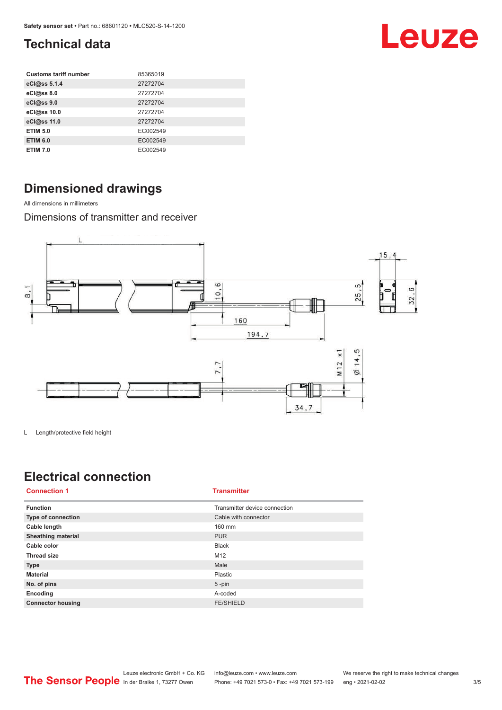## <span id="page-2-0"></span>**Technical data**

| <b>Customs tariff number</b> | 85365019 |
|------------------------------|----------|
| eCl@ss 5.1.4                 | 27272704 |
| eCl@ss 8.0                   | 27272704 |
| eCl@ss 9.0                   | 27272704 |
| eCl@ss 10.0                  | 27272704 |
| eCl@ss 11.0                  | 27272704 |
| <b>ETIM 5.0</b>              | EC002549 |
| <b>ETIM 6.0</b>              | EC002549 |
| <b>ETIM 7.0</b>              | EC002549 |

## **Dimensioned drawings**

All dimensions in millimeters

Dimensions of transmitter and receiver



L Length/protective field height

## **Electrical connection**

| <b>Connection 1</b>       | <b>Transmitter</b>            |
|---------------------------|-------------------------------|
| <b>Function</b>           | Transmitter device connection |
| <b>Type of connection</b> | Cable with connector          |
| Cable length              | 160 mm                        |
| <b>Sheathing material</b> | <b>PUR</b>                    |
| Cable color               | <b>Black</b>                  |
| <b>Thread size</b>        | M12                           |
| <b>Type</b>               | Male                          |
| <b>Material</b>           | Plastic                       |
| No. of pins               | $5$ -pin                      |
| Encoding                  | A-coded                       |
| <b>Connector housing</b>  | <b>FE/SHIELD</b>              |

Leuze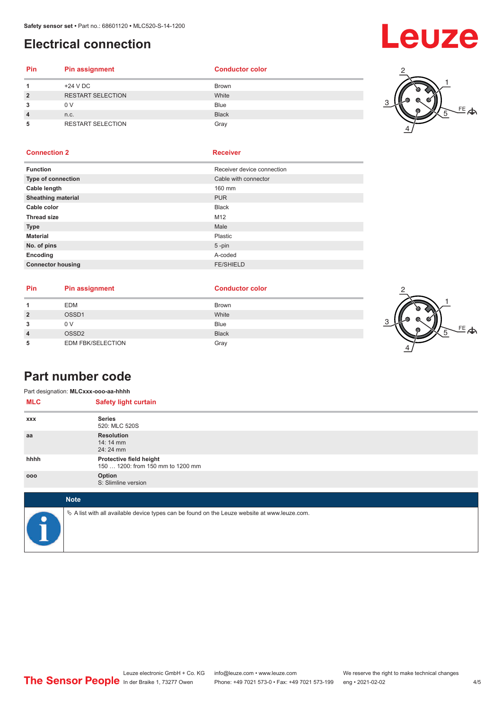## <span id="page-3-0"></span>**Electrical connection**

# Leuze

#### **Pin Pin assignment Conductor Conductor Color 1** +24 V DC Brown **2** RESTART SELECTION White **3** 0 V Blue **4** n.c. Black **5** RESTART SELECTION Gray



### **Connection 2 Receiver**

| <b>Function</b>           | Receiver device connection |
|---------------------------|----------------------------|
| Type of connection        | Cable with connector       |
| Cable length              | 160 mm                     |
| <b>Sheathing material</b> | <b>PUR</b>                 |
| Cable color               | <b>Black</b>               |
| <b>Thread size</b>        | M12                        |
| <b>Type</b>               | Male                       |
| <b>Material</b>           | Plastic                    |
| No. of pins               | $5$ -pin                   |
| Encoding                  | A-coded                    |
| <b>Connector housing</b>  | <b>FE/SHIELD</b>           |
|                           |                            |

| <b>Pin</b> | <b>Pin assignment</b>    | <b>Conductor color</b> |  |
|------------|--------------------------|------------------------|--|
|            | <b>EDM</b>               | <b>Brown</b>           |  |
|            | OSSD1                    | White                  |  |
|            | 0 V                      | <b>Blue</b>            |  |
|            | OSSD <sub>2</sub>        | <b>Black</b>           |  |
|            | <b>EDM FBK/SELECTION</b> | Gray                   |  |



### **Part number code**

|            | Part designation: MLCxxx-ooo-aa-hhhh                                                            |
|------------|-------------------------------------------------------------------------------------------------|
| <b>MLC</b> | <b>Safety light curtain</b>                                                                     |
| <b>XXX</b> | <b>Series</b><br>520: MLC 520S                                                                  |
| aa         | <b>Resolution</b><br>14:14 mm<br>24: 24 mm                                                      |
| hhhh       | Protective field height<br>150  1200: from 150 mm to 1200 mm                                    |
| 000        | Option<br>S: Slimline version                                                                   |
|            | <b>Note</b>                                                                                     |
|            | $\&$ A list with all available device types can be found on the Leuze website at www.leuze.com. |